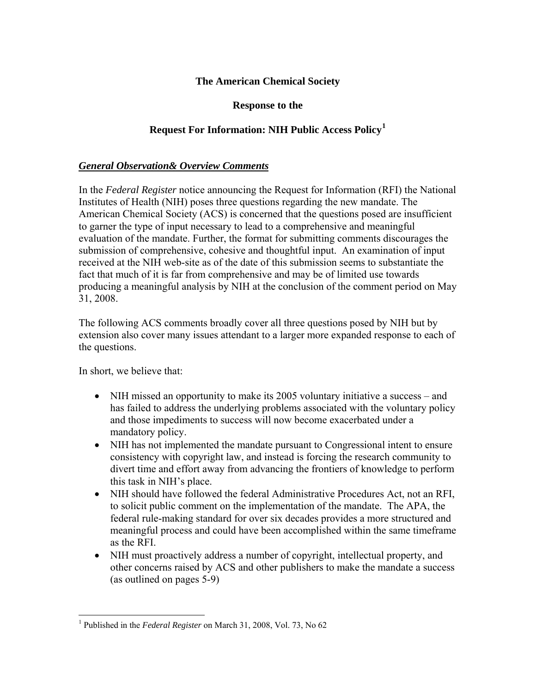### **The American Chemical Society**

#### **Response to the**

### **Request For Information: NIH Public Access Policy[1](#page-0-0)**

### *General Observation& Overview Comments*

In the *Federal Register* notice announcing the Request for Information (RFI) the National Institutes of Health (NIH) poses three questions regarding the new mandate. The American Chemical Society (ACS) is concerned that the questions posed are insufficient to garner the type of input necessary to lead to a comprehensive and meaningful evaluation of the mandate. Further, the format for submitting comments discourages the submission of comprehensive, cohesive and thoughtful input. An examination of input received at the NIH web-site as of the date of this submission seems to substantiate the fact that much of it is far from comprehensive and may be of limited use towards producing a meaningful analysis by NIH at the conclusion of the comment period on May 31, 2008.

The following ACS comments broadly cover all three questions posed by NIH but by extension also cover many issues attendant to a larger more expanded response to each of the questions.

In short, we believe that:

- NIH missed an opportunity to make its 2005 voluntary initiative a success and has failed to address the underlying problems associated with the voluntary policy and those impediments to success will now become exacerbated under a mandatory policy.
- NIH has not implemented the mandate pursuant to Congressional intent to ensure consistency with copyright law, and instead is forcing the research community to divert time and effort away from advancing the frontiers of knowledge to perform this task in NIH's place.
- NIH should have followed the federal Administrative Procedures Act, not an RFI, to solicit public comment on the implementation of the mandate. The APA, the federal rule-making standard for over six decades provides a more structured and meaningful process and could have been accomplished within the same timeframe as the RFI.
- NIH must proactively address a number of copyright, intellectual property, and other concerns raised by ACS and other publishers to make the mandate a success (as outlined on pages 5-9)

<span id="page-0-0"></span> $\overline{a}$ <sup>1</sup> Published in the *Federal Register* on March 31, 2008, Vol. 73, No 62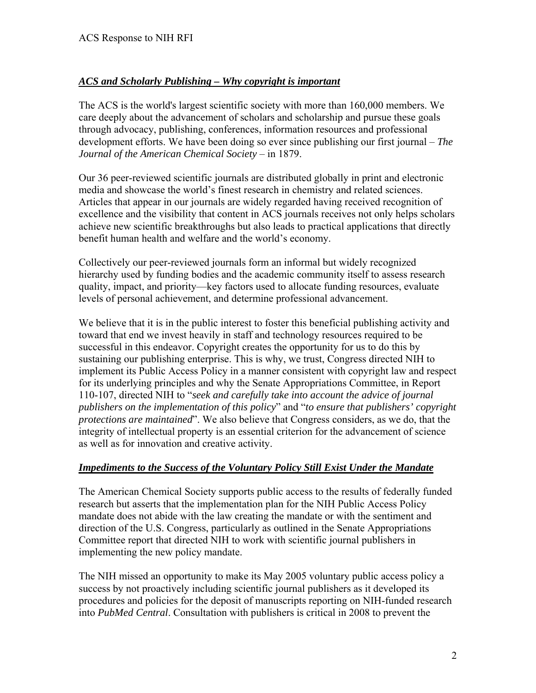# *ACS and Scholarly Publishing – Why copyright is important*

The ACS is the world's largest scientific society with more than 160,000 members. We care deeply about the advancement of scholars and scholarship and pursue these goals through advocacy, publishing, conferences, information resources and professional development efforts. We have been doing so ever since publishing our first journal – *The Journal of the American Chemical Society* – in 1879.

Our 36 peer-reviewed scientific journals are distributed globally in print and electronic media and showcase the world's finest research in chemistry and related sciences. Articles that appear in our journals are widely regarded having received recognition of excellence and the visibility that content in ACS journals receives not only helps scholars achieve new scientific breakthroughs but also leads to practical applications that directly benefit human health and welfare and the world's economy.

Collectively our peer-reviewed journals form an informal but widely recognized hierarchy used by funding bodies and the academic community itself to assess research quality, impact, and priority—key factors used to allocate funding resources, evaluate levels of personal achievement, and determine professional advancement.

We believe that it is in the public interest to foster this beneficial publishing activity and toward that end we invest heavily in staff and technology resources required to be successful in this endeavor. Copyright creates the opportunity for us to do this by sustaining our publishing enterprise. This is why, we trust, Congress directed NIH to implement its Public Access Policy in a manner consistent with copyright law and respect for its underlying principles and why the Senate Appropriations Committee, in Report 110-107, directed NIH to "*seek and carefully take into account the advice of journal publishers on the implementation of this policy*" and "*to ensure that publishers' copyright protections are maintained*". We also believe that Congress considers, as we do, that the integrity of intellectual property is an essential criterion for the advancement of science as well as for innovation and creative activity.

### *Impediments to the Success of the Voluntary Policy Still Exist Under the Mandate*

The American Chemical Society supports public access to the results of federally funded research but asserts that the implementation plan for the NIH Public Access Policy mandate does not abide with the law creating the mandate or with the sentiment and direction of the U.S. Congress, particularly as outlined in the Senate Appropriations Committee report that directed NIH to work with scientific journal publishers in implementing the new policy mandate.

The NIH missed an opportunity to make its May 2005 voluntary public access policy a success by not proactively including scientific journal publishers as it developed its procedures and policies for the deposit of manuscripts reporting on NIH-funded research into *PubMed Central*. Consultation with publishers is critical in 2008 to prevent the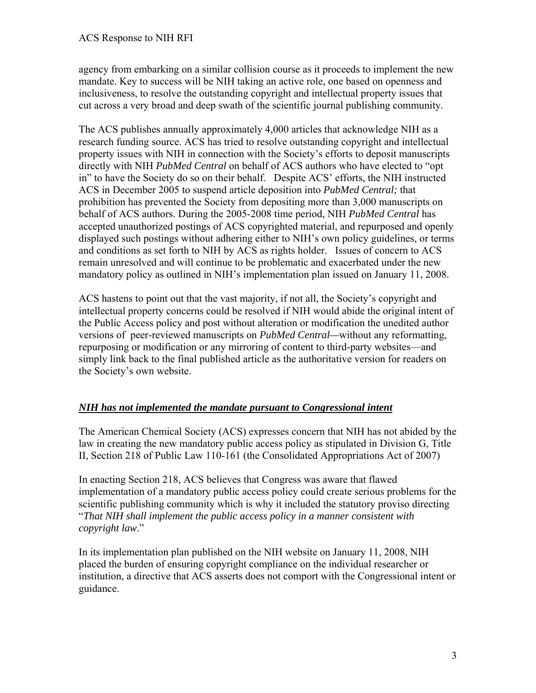agency from embarking on a similar collision course as it proceeds to implement the new mandate. Key to success will be NIH taking an active role, one based on openness and inclusiveness, to resolve the outstanding copyright and intellectual property issues that cut across a very broad and deep swath of the scientific journal publishing community.

The ACS publishes annually approximately 4,000 articles that acknowledge NIH as a research funding source. ACS has tried to resolve outstanding copyright and intellectual property issues with NIH in connection with the Society's efforts to deposit manuscripts directly with NIH *PubMed Central* on behalf of ACS authors who have elected to "opt in" to have the Society do so on their behalf. Despite ACS' efforts, the NIH instructed ACS in December 2005 to suspend article deposition into *PubMed Central;* that prohibition has prevented the Society from depositing more than 3,000 manuscripts on behalf of ACS authors. During the 2005-2008 time period, NIH *PubMed Central* has accepted unauthorized postings of ACS copyrighted material, and repurposed and openly displayed such postings without adhering either to NIH's own policy guidelines, or terms and conditions as set forth to NIH by ACS as rights holder. Issues of concern to ACS remain unresolved and will continue to be problematic and exacerbated under the new mandatory policy as outlined in NIH's implementation plan issued on January 11, 2008.

ACS hastens to point out that the vast majority, if not all, the Society's copyright and intellectual property concerns could be resolved if NIH would abide the original intent of the Public Access policy and post without alteration or modification the unedited author versions of peer-reviewed manuscripts on *PubMed Central—*without any reformatting, repurposing or modification or any mirroring of content to third-party websites—and simply link back to the final published article as the authoritative version for readers on the Society's own website.

# *NIH has not implemented the mandate pursuant to Congressional intent*

The American Chemical Society (ACS) expresses concern that NIH has not abided by the law in creating the new mandatory public access policy as stipulated in Division G, Title II, Section 218 of Public Law 110-161 (the Consolidated Appropriations Act of 2007)

In enacting Section 218, ACS believes that Congress was aware that flawed implementation of a mandatory public access policy could create serious problems for the scientific publishing community which is why it included the statutory proviso directing "*That NIH shall implement the public access policy in a manner consistent with copyright law*."

In its implementation plan published on the NIH website on January 11, 2008, NIH placed the burden of ensuring copyright compliance on the individual researcher or institution, a directive that ACS asserts does not comport with the Congressional intent or guidance.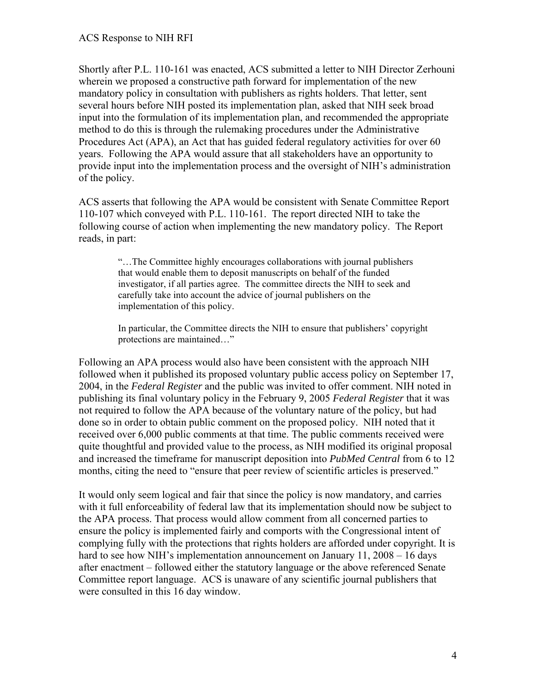Shortly after P.L. 110-161 was enacted, ACS submitted a letter to NIH Director Zerhouni wherein we proposed a constructive path forward for implementation of the new mandatory policy in consultation with publishers as rights holders. That letter, sent several hours before NIH posted its implementation plan, asked that NIH seek broad input into the formulation of its implementation plan, and recommended the appropriate method to do this is through the rulemaking procedures under the Administrative Procedures Act (APA), an Act that has guided federal regulatory activities for over 60 years. Following the APA would assure that all stakeholders have an opportunity to provide input into the implementation process and the oversight of NIH's administration of the policy.

ACS asserts that following the APA would be consistent with Senate Committee Report 110-107 which conveyed with P.L. 110-161. The report directed NIH to take the following course of action when implementing the new mandatory policy. The Report reads, in part:

> "…The Committee highly encourages collaborations with journal publishers that would enable them to deposit manuscripts on behalf of the funded investigator, if all parties agree. The committee directs the NIH to seek and carefully take into account the advice of journal publishers on the implementation of this policy.

In particular, the Committee directs the NIH to ensure that publishers' copyright protections are maintained…"

Following an APA process would also have been consistent with the approach NIH followed when it published its proposed voluntary public access policy on September 17, 2004, in the *Federal Register* and the public was invited to offer comment. NIH noted in publishing its final voluntary policy in the February 9, 2005 *Federal Register* that it was not required to follow the APA because of the voluntary nature of the policy, but had done so in order to obtain public comment on the proposed policy. NIH noted that it received over 6,000 public comments at that time. The public comments received were quite thoughtful and provided value to the process, as NIH modified its original proposal and increased the timeframe for manuscript deposition into *PubMed Central* from 6 to 12 months, citing the need to "ensure that peer review of scientific articles is preserved."

It would only seem logical and fair that since the policy is now mandatory, and carries with it full enforceability of federal law that its implementation should now be subject to the APA process. That process would allow comment from all concerned parties to ensure the policy is implemented fairly and comports with the Congressional intent of complying fully with the protections that rights holders are afforded under copyright. It is hard to see how NIH's implementation announcement on January 11, 2008 – 16 days after enactment – followed either the statutory language or the above referenced Senate Committee report language. ACS is unaware of any scientific journal publishers that were consulted in this 16 day window.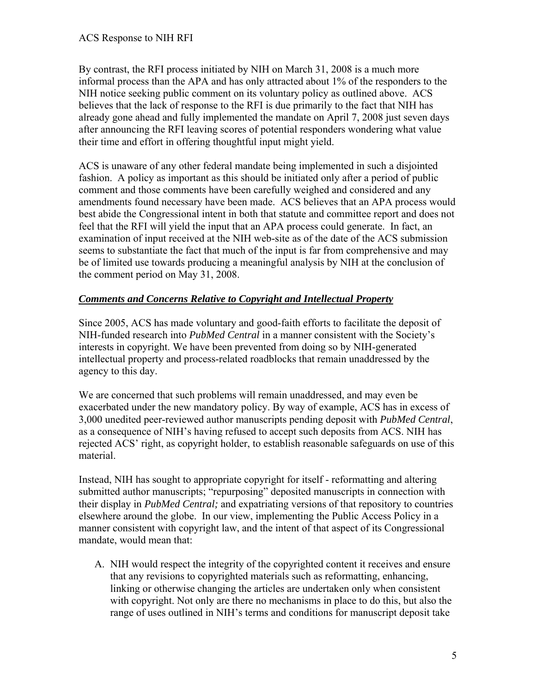By contrast, the RFI process initiated by NIH on March 31, 2008 is a much more informal process than the APA and has only attracted about 1% of the responders to the NIH notice seeking public comment on its voluntary policy as outlined above. ACS believes that the lack of response to the RFI is due primarily to the fact that NIH has already gone ahead and fully implemented the mandate on April 7, 2008 just seven days after announcing the RFI leaving scores of potential responders wondering what value their time and effort in offering thoughtful input might yield.

ACS is unaware of any other federal mandate being implemented in such a disjointed fashion. A policy as important as this should be initiated only after a period of public comment and those comments have been carefully weighed and considered and any amendments found necessary have been made. ACS believes that an APA process would best abide the Congressional intent in both that statute and committee report and does not feel that the RFI will yield the input that an APA process could generate. In fact, an examination of input received at the NIH web-site as of the date of the ACS submission seems to substantiate the fact that much of the input is far from comprehensive and may be of limited use towards producing a meaningful analysis by NIH at the conclusion of the comment period on May 31, 2008.

# *Comments and Concerns Relative to Copyright and Intellectual Property*

Since 2005, ACS has made voluntary and good-faith efforts to facilitate the deposit of NIH-funded research into *PubMed Central* in a manner consistent with the Society's interests in copyright. We have been prevented from doing so by NIH-generated intellectual property and process-related roadblocks that remain unaddressed by the agency to this day.

We are concerned that such problems will remain unaddressed, and may even be exacerbated under the new mandatory policy. By way of example, ACS has in excess of 3,000 unedited peer-reviewed author manuscripts pending deposit with *PubMed Central*, as a consequence of NIH's having refused to accept such deposits from ACS. NIH has rejected ACS' right, as copyright holder, to establish reasonable safeguards on use of this material.

Instead, NIH has sought to appropriate copyright for itself - reformatting and altering submitted author manuscripts; "repurposing" deposited manuscripts in connection with their display in *PubMed Central;* and expatriating versions of that repository to countries elsewhere around the globe. In our view, implementing the Public Access Policy in a manner consistent with copyright law, and the intent of that aspect of its Congressional mandate, would mean that:

A. NIH would respect the integrity of the copyrighted content it receives and ensure that any revisions to copyrighted materials such as reformatting, enhancing, linking or otherwise changing the articles are undertaken only when consistent with copyright. Not only are there no mechanisms in place to do this, but also the range of uses outlined in NIH's terms and conditions for manuscript deposit take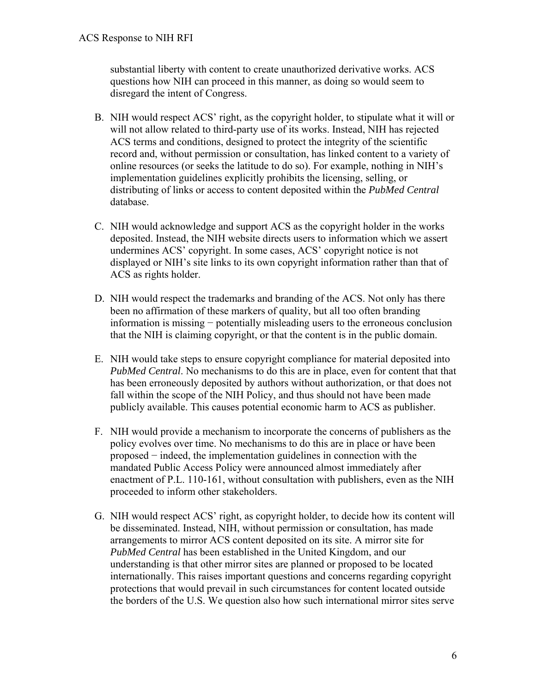substantial liberty with content to create unauthorized derivative works. ACS questions how NIH can proceed in this manner, as doing so would seem to disregard the intent of Congress.

- B. NIH would respect ACS' right, as the copyright holder, to stipulate what it will or will not allow related to third-party use of its works. Instead, NIH has rejected ACS terms and conditions, designed to protect the integrity of the scientific record and, without permission or consultation, has linked content to a variety of online resources (or seeks the latitude to do so). For example, nothing in NIH's implementation guidelines explicitly prohibits the licensing, selling, or distributing of links or access to content deposited within the *PubMed Central* database.
- C. NIH would acknowledge and support ACS as the copyright holder in the works deposited. Instead, the NIH website directs users to information which we assert undermines ACS' copyright. In some cases, ACS' copyright notice is not displayed or NIH's site links to its own copyright information rather than that of ACS as rights holder.
- D. NIH would respect the trademarks and branding of the ACS. Not only has there been no affirmation of these markers of quality, but all too often branding information is missing − potentially misleading users to the erroneous conclusion that the NIH is claiming copyright, or that the content is in the public domain.
- E. NIH would take steps to ensure copyright compliance for material deposited into *PubMed Central*. No mechanisms to do this are in place, even for content that that has been erroneously deposited by authors without authorization, or that does not fall within the scope of the NIH Policy, and thus should not have been made publicly available. This causes potential economic harm to ACS as publisher.
- F. NIH would provide a mechanism to incorporate the concerns of publishers as the policy evolves over time. No mechanisms to do this are in place or have been proposed − indeed, the implementation guidelines in connection with the mandated Public Access Policy were announced almost immediately after enactment of P.L. 110-161, without consultation with publishers, even as the NIH proceeded to inform other stakeholders.
- G. NIH would respect ACS' right, as copyright holder, to decide how its content will be disseminated. Instead, NIH, without permission or consultation, has made arrangements to mirror ACS content deposited on its site. A mirror site for *PubMed Central* has been established in the United Kingdom, and our understanding is that other mirror sites are planned or proposed to be located internationally. This raises important questions and concerns regarding copyright protections that would prevail in such circumstances for content located outside the borders of the U.S. We question also how such international mirror sites serve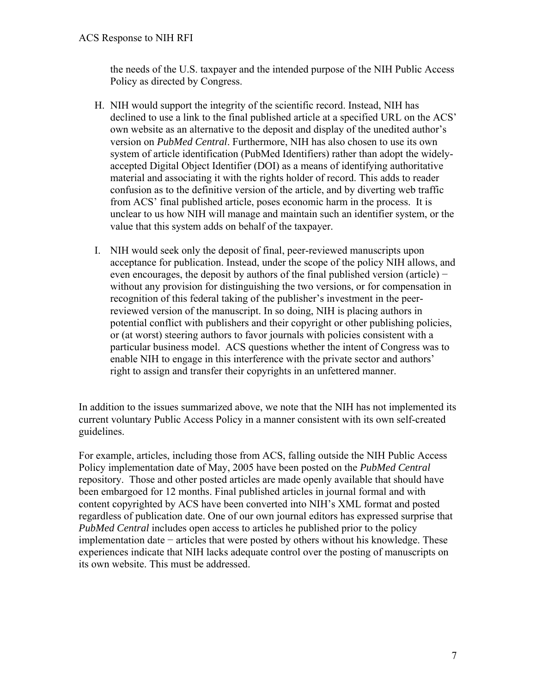the needs of the U.S. taxpayer and the intended purpose of the NIH Public Access Policy as directed by Congress.

- H. NIH would support the integrity of the scientific record. Instead, NIH has declined to use a link to the final published article at a specified URL on the ACS' own website as an alternative to the deposit and display of the unedited author's version on *PubMed Central*. Furthermore, NIH has also chosen to use its own system of article identification (PubMed Identifiers) rather than adopt the widelyaccepted Digital Object Identifier (DOI) as a means of identifying authoritative material and associating it with the rights holder of record. This adds to reader confusion as to the definitive version of the article, and by diverting web traffic from ACS' final published article, poses economic harm in the process. It is unclear to us how NIH will manage and maintain such an identifier system, or the value that this system adds on behalf of the taxpayer.
- I. NIH would seek only the deposit of final, peer-reviewed manuscripts upon acceptance for publication. Instead, under the scope of the policy NIH allows, and even encourages, the deposit by authors of the final published version (article) – without any provision for distinguishing the two versions, or for compensation in recognition of this federal taking of the publisher's investment in the peerreviewed version of the manuscript. In so doing, NIH is placing authors in potential conflict with publishers and their copyright or other publishing policies, or (at worst) steering authors to favor journals with policies consistent with a particular business model. ACS questions whether the intent of Congress was to enable NIH to engage in this interference with the private sector and authors' right to assign and transfer their copyrights in an unfettered manner.

In addition to the issues summarized above, we note that the NIH has not implemented its current voluntary Public Access Policy in a manner consistent with its own self-created guidelines.

For example, articles, including those from ACS, falling outside the NIH Public Access Policy implementation date of May, 2005 have been posted on the *PubMed Central*  repository. Those and other posted articles are made openly available that should have been embargoed for 12 months. Final published articles in journal formal and with content copyrighted by ACS have been converted into NIH's XML format and posted regardless of publication date. One of our own journal editors has expressed surprise that *PubMed Central* includes open access to articles he published prior to the policy implementation date − articles that were posted by others without his knowledge. These experiences indicate that NIH lacks adequate control over the posting of manuscripts on its own website. This must be addressed.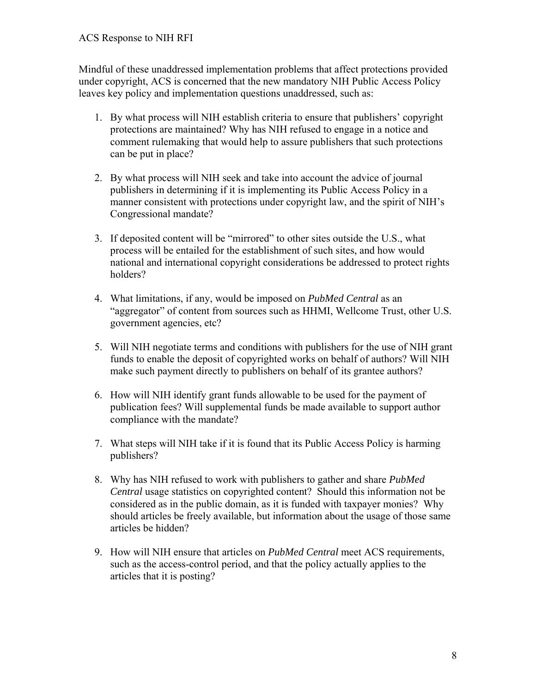Mindful of these unaddressed implementation problems that affect protections provided under copyright, ACS is concerned that the new mandatory NIH Public Access Policy leaves key policy and implementation questions unaddressed, such as:

- 1. By what process will NIH establish criteria to ensure that publishers' copyright protections are maintained? Why has NIH refused to engage in a notice and comment rulemaking that would help to assure publishers that such protections can be put in place?
- 2. By what process will NIH seek and take into account the advice of journal publishers in determining if it is implementing its Public Access Policy in a manner consistent with protections under copyright law, and the spirit of NIH's Congressional mandate?
- 3. If deposited content will be "mirrored" to other sites outside the U.S., what process will be entailed for the establishment of such sites, and how would national and international copyright considerations be addressed to protect rights holders?
- 4. What limitations, if any, would be imposed on *PubMed Central* as an "aggregator" of content from sources such as HHMI, Wellcome Trust, other U.S. government agencies, etc?
- 5. Will NIH negotiate terms and conditions with publishers for the use of NIH grant funds to enable the deposit of copyrighted works on behalf of authors? Will NIH make such payment directly to publishers on behalf of its grantee authors?
- 6. How will NIH identify grant funds allowable to be used for the payment of publication fees? Will supplemental funds be made available to support author compliance with the mandate?
- 7. What steps will NIH take if it is found that its Public Access Policy is harming publishers?
- 8. Why has NIH refused to work with publishers to gather and share *PubMed Central* usage statistics on copyrighted content? Should this information not be considered as in the public domain, as it is funded with taxpayer monies? Why should articles be freely available, but information about the usage of those same articles be hidden?
- 9. How will NIH ensure that articles on *PubMed Central* meet ACS requirements, such as the access-control period, and that the policy actually applies to the articles that it is posting?